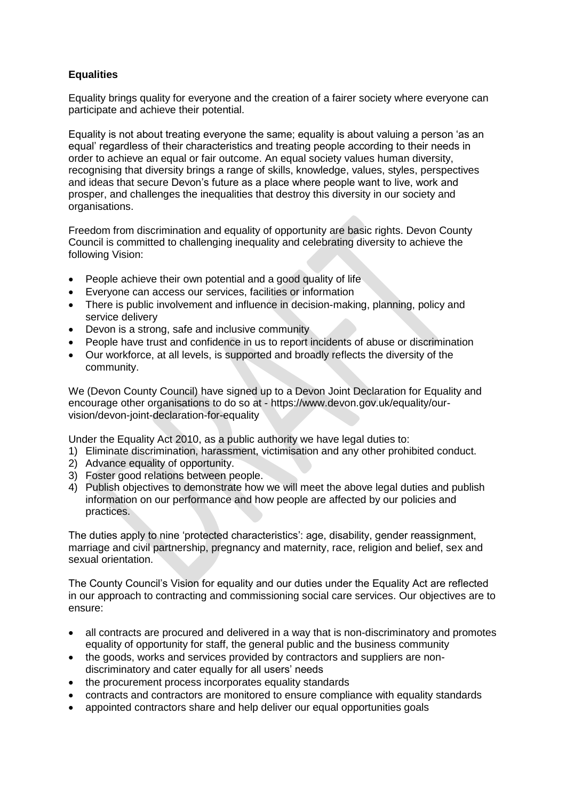## **Equalities**

Equality brings quality for everyone and the creation of a fairer society where everyone can participate and achieve their potential.

Equality is not about treating everyone the same; equality is about valuing a person 'as an equal' regardless of their characteristics and treating people according to their needs in order to achieve an equal or fair outcome. An equal society values human diversity, recognising that diversity brings a range of skills, knowledge, values, styles, perspectives and ideas that secure Devon's future as a place where people want to live, work and prosper, and challenges the inequalities that destroy this diversity in our society and organisations.

Freedom from discrimination and equality of opportunity are basic rights. Devon County Council is committed to challenging inequality and celebrating diversity to achieve the following Vision:

- People achieve their own potential and a good quality of life
- Everyone can access our services, facilities or information
- There is public involvement and influence in decision-making, planning, policy and service delivery
- Devon is a strong, safe and inclusive community
- People have trust and confidence in us to report incidents of abuse or discrimination
- Our workforce, at all levels, is supported and broadly reflects the diversity of the community.

We (Devon County Council) have signed up to a Devon Joint Declaration for Equality and encourage other organisations to do so at - [https://www.devon.gov.uk/equality/our](https://www.devon.gov.uk/equality/our-vision/devon-joint-declaration-for-equality)[vision/devon-joint-declaration-for-equality](https://www.devon.gov.uk/equality/our-vision/devon-joint-declaration-for-equality)

Under the Equality Act 2010, as a public authority we have legal duties to:

- 1) Eliminate discrimination, harassment, victimisation and any other prohibited conduct.
- 2) Advance equality of opportunity.
- 3) Foster good relations between people.
- 4) Publish objectives to demonstrate how we will meet the above legal duties and publish information on our performance and how people are affected by our policies and practices.

The duties apply to nine 'protected characteristics': age, disability, gender reassignment, marriage and civil partnership, pregnancy and maternity, race, religion and belief, sex and sexual orientation.

The County Council's Vision for equality and our duties under the Equality Act are reflected in our approach to contracting and commissioning social care services. Our objectives are to ensure:

- all contracts are procured and delivered in a way that is non-discriminatory and promotes equality of opportunity for staff, the general public and the business community
- the goods, works and services provided by contractors and suppliers are nondiscriminatory and cater equally for all users' needs
- the procurement process incorporates equality standards
- contracts and contractors are monitored to ensure compliance with equality standards
- appointed contractors share and help deliver our equal opportunities goals